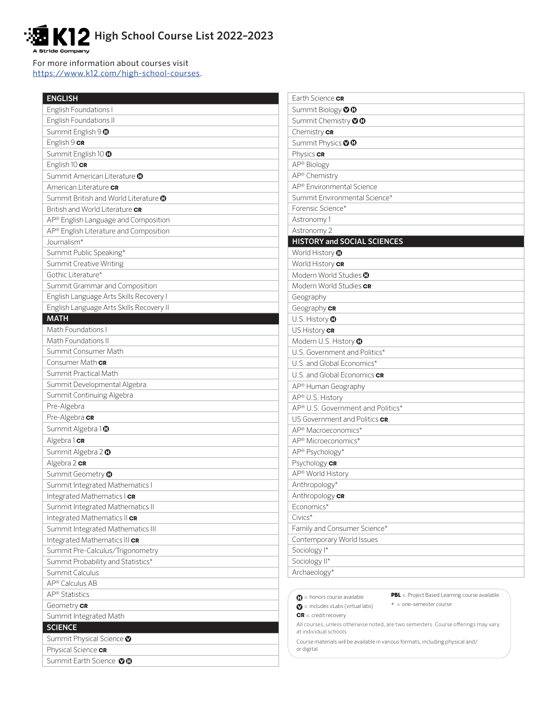## K12 High School Course List 2022-2023 Stride Company

For more information about courses visit https://www.k12.com/high-school-courses.

| <b>ENGLISH</b>                                   | Earth Science CR                                                                                         |
|--------------------------------------------------|----------------------------------------------------------------------------------------------------------|
| <b>English Foundations I</b>                     | Summit Biology OO                                                                                        |
| English Foundations II                           | Summit Chemistry <sup>OO</sup>                                                                           |
| Summit English 9 0                               | Chemistry CR                                                                                             |
| English 9 cR                                     | Summit Physics OO                                                                                        |
| Summit English 10 0                              | Physics cR                                                                                               |
| English 10 cR                                    | AP® Biology                                                                                              |
| Summit American Literature <sup>1</sup>          | AP® Chemistry                                                                                            |
| American Literature CR                           | AP <sup>®</sup> Environmental Science                                                                    |
| Summit British and World Literature <sup>1</sup> | Summit Environmental Science*                                                                            |
| British and World Literature CR                  | Forensic Science*                                                                                        |
| AP® English Language and Composition             | Astronomy 1                                                                                              |
| AP® English Literature and Composition           | Astronomy 2                                                                                              |
| Journalism*                                      | <b>HISTORY and SOCIAL SCIENCES</b>                                                                       |
| Summit Public Speaking*                          | World History <b>O</b>                                                                                   |
| Summit Creative Writing                          | World History CR                                                                                         |
| Gothic Literature*                               | Modern World Studies <b>O</b>                                                                            |
| Summit Grammar and Composition                   | Modern World Studies CR                                                                                  |
| English Language Arts Skills Recovery I          | Geography                                                                                                |
| English Language Arts Skills Recovery II         | Geography CR                                                                                             |
| <b>MATH</b>                                      | U.S. History <b>O</b>                                                                                    |
| Math Foundations I                               | US History CR                                                                                            |
| Math Foundations II                              | Modern U.S. History <b>O</b>                                                                             |
| Summit Consumer Math                             | U.S. Government and Politics*                                                                            |
| Consumer Math CR                                 | U.S. and Global Economics*                                                                               |
| Summit Practical Math                            | U.S. and Global Economics CR                                                                             |
| Summit Developmental Algebra                     | AP® Human Geography                                                                                      |
| Summit Continuing Algebra                        | AP® U.S. History                                                                                         |
| Pre-Algebra                                      | AP® U.S. Government and Politics*                                                                        |
| Pre-Algebra CR                                   | US Government and Politics CR                                                                            |
| Summit Algebra 10                                | AP <sup>®</sup> Macroeconomics*                                                                          |
| Algebra 1 cR                                     | AP® Microeconomics*                                                                                      |
| Summit Algebra 2 <sup>0</sup>                    | AP® Psychology*                                                                                          |
| Algebra 2 cR                                     | Psychology CR                                                                                            |
| Summit Geometry <sup>0</sup>                     | AP® World History                                                                                        |
| Summit Integrated Mathematics I                  | Anthropology*                                                                                            |
| Integrated Mathematics I CR                      | Anthropology CR                                                                                          |
| Summit Integrated Mathematics II                 | Economics*                                                                                               |
| Integrated Mathematics II CR                     | Civics*                                                                                                  |
| Summit Integrated Mathematics III                | Family and Consumer Science*                                                                             |
| Integrated Mathematics III CR                    | Contemporary World Issues                                                                                |
| Summit Pre-Calculus/Trigonometry                 | Sociology <sup>1*</sup>                                                                                  |
| Summit Probability and Statistics*               | Sociology II*                                                                                            |
| Summit Calculus                                  | Archaeology*                                                                                             |
| AP® Calculus AB                                  |                                                                                                          |
| AP <sup>®</sup> Statistics                       | <b>PBL</b> = Project Based Learning course available<br>$\bigoplus$ = honors course available            |
| Geometry CR                                      | $* =$ one-semester course<br>$\bullet$ = includes vLabs (virtual labs)                                   |
| Summit Integrated Math                           | $CR = credit recovery$                                                                                   |
| <b>SCIENCE</b>                                   | All courses, unless otherwise noted, are two semesters. Course offerings may vary                        |
| Summit Physical Science <sup>O</sup>             | at individual schools.<br>Course materials will be available in various formats, including physical and/ |
| Physical Science CR                              | or digital.                                                                                              |
| Summit Earth Science OO                          |                                                                                                          |
|                                                  |                                                                                                          |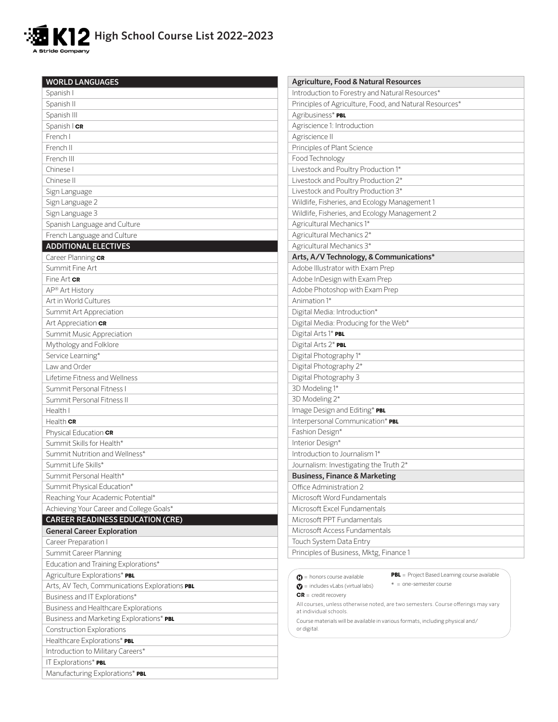

| <b>WORLD LANGUAGES</b>                         | Agriculture, Food & Natural Resources                                                         |
|------------------------------------------------|-----------------------------------------------------------------------------------------------|
| Spanish I                                      | Introduction to Forestry and Natural Resources*                                               |
| Spanish II                                     | Principles of Agriculture, Food, and Natural Resources*                                       |
| Spanish III                                    | Agribusiness* PBL                                                                             |
| Spanish   CR                                   | Agriscience 1: Introduction                                                                   |
| French I                                       | Agriscience II                                                                                |
| French II                                      | Principles of Plant Science                                                                   |
| French III                                     | Food Technology                                                                               |
| Chinese I                                      | Livestock and Poultry Production 1*                                                           |
| Chinese II                                     | Livestock and Poultry Production 2*                                                           |
| Sign Language                                  | Livestock and Poultry Production 3*                                                           |
| Sign Language 2                                | Wildlife, Fisheries, and Ecology Management 1                                                 |
| Sign Language 3                                | Wildlife, Fisheries, and Ecology Management 2                                                 |
| Spanish Language and Culture                   | Agricultural Mechanics 1*                                                                     |
| French Language and Culture                    | Agricultural Mechanics 2*                                                                     |
| <b>ADDITIONAL ELECTIVES</b>                    | Agricultural Mechanics 3*                                                                     |
| Career Planning CR                             | Arts, A/V Technology, & Communications*                                                       |
| Summit Fine Art                                | Adobe Illustrator with Exam Prep                                                              |
| Fine Art CR                                    | Adobe InDesign with Exam Prep                                                                 |
| AP® Art History                                | Adobe Photoshop with Exam Prep                                                                |
| Art in World Cultures                          | Animation 1*                                                                                  |
| Summit Art Appreciation                        | Digital Media: Introduction*                                                                  |
| Art Appreciation CR                            | Digital Media: Producing for the Web*                                                         |
| Summit Music Appreciation                      | Digital Arts 1* PBL                                                                           |
| Mythology and Folklore                         | Digital Arts 2* PBL                                                                           |
| Service Learning*                              | Digital Photography 1*                                                                        |
| Law and Order                                  | Digital Photography 2*                                                                        |
| Lifetime Fitness and Wellness                  | Digital Photography 3                                                                         |
| Summit Personal Fitness I                      | 3D Modeling 1*                                                                                |
| Summit Personal Fitness II                     | 3D Modeling 2*                                                                                |
| Health I                                       | Image Design and Editing* PBL                                                                 |
| Health $CR$                                    | Interpersonal Communication* PBL                                                              |
| Physical Education CR                          | Fashion Design*                                                                               |
| Summit Skills for Health*                      | Interior Design*                                                                              |
| Summit Nutrition and Wellness*                 | Introduction to Journalism 1*                                                                 |
| Summit Life Skills*                            | Journalism: Investigating the Truth 2*                                                        |
| Summit Personal Health*                        | <b>Business, Finance &amp; Marketing</b>                                                      |
| Summit Physical Education*                     | Office Administration 2                                                                       |
| Reaching Your Academic Potential*              | Microsoft Word Fundamentals                                                                   |
| Achieving Your Career and College Goals*       | Microsoft Excel Fundamentals                                                                  |
| <b>CAREER READINESS EDUCATION (CRE)</b>        | Microsoft PPT Fundamentals                                                                    |
| <b>General Career Exploration</b>              | Microsoft Access Fundamentals                                                                 |
| Career Preparation I                           | Touch System Data Entry                                                                       |
| Summit Career Planning                         | Principles of Business, Mktg, Finance 1                                                       |
| Education and Training Explorations*           |                                                                                               |
| Agriculture Explorations* PBL                  | <b>PBL</b> = Project Based Learning course available<br>$\bigoplus$ = honors course available |
| Arts, AV Tech, Communications Explorations PBL | $* =$ one-semester course<br>$\bullet$ = includes vLabs (virtual labs)                        |
| Business and IT Explorations*                  | $CR = credit recovery$                                                                        |
| Business and Healthcare Explorations           | All courses, unless otherwise noted, are two semesters. Course offerings may vary             |
| Business and Marketing Explorations* PBL       | at individual schools.                                                                        |
| Construction Explorations                      | Course materials will be available in various formats, including physical and/<br>or digital. |
| Healthcare Explorations* PBL                   |                                                                                               |
| Introduction to Military Careers*              |                                                                                               |
| IT Explorations* PBL                           |                                                                                               |
| Manufacturing Explorations* PBL                |                                                                                               |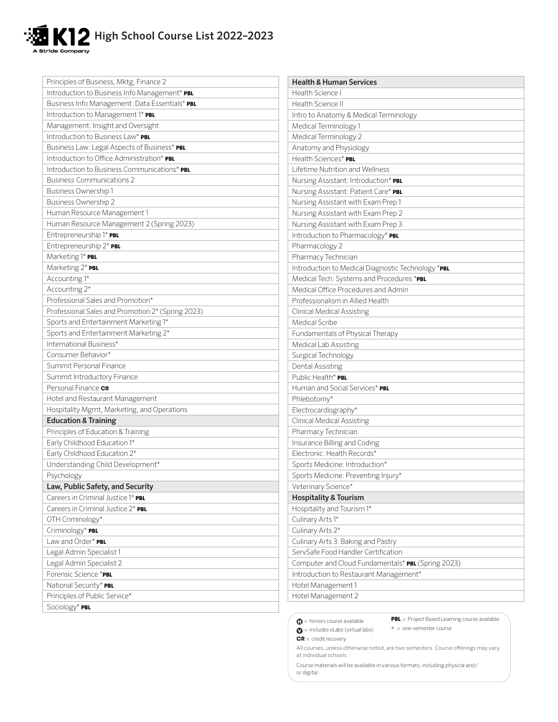## **High School Course List 2022-2023 Stride Company**

| Principles of Business, Mktg, Finance 2           | <b>Health &amp; Human Services</b>                 |
|---------------------------------------------------|----------------------------------------------------|
| Introduction to Business Info Management* PBL     | Health Science I                                   |
| Business Info Management: Data Essentials* PBL    | Health Science II                                  |
| Introduction to Management 1* PBL                 | Intro to Anatomy & Medical Terminology             |
| Management: Insight and Oversight                 | Medical Terminology 1                              |
| Introduction to Business Law* PBL                 | Medical Terminology 2                              |
| Business Law: Legal Aspects of Business* PBL      | Anatomy and Physiology                             |
| Introduction to Office Administration* PBL        | Health Sciences* PBL                               |
| Introduction to Business Communications* PBL      | Lifetime Nutrition and Wellness                    |
| <b>Business Communications 2</b>                  | Nursing Assistant: Introduction* PBL               |
| Business Ownership 1                              | Nursing Assistant: Patient Care* PBL               |
| Business Ownership 2                              | Nursing Assistant with Exam Prep 1                 |
| Human Resource Management 1                       | Nursing Assistant with Exam Prep 2                 |
| Human Resource Management 2 (Spring 2023)         | Nursing Assistant with Exam Prep 3                 |
| Entrepreneurship 1* PBL                           | Introduction to Pharmacology* PBL                  |
| Entrepreneurship 2* PBL                           | Pharmacology 2                                     |
| Marketing 1* PBL                                  | Pharmacy Technician                                |
| Marketing 2* PBL                                  | Introduction to Medical Diagnostic Technology *PBL |
| Accounting 1*                                     | Medical Tech: Systems and Procedures *PBL          |
| Accounting 2*                                     | Medical Office Procedures and Admin                |
| Professional Sales and Promotion*                 | Professionalism in Allied Health                   |
| Professional Sales and Promotion 2* (Spring 2023) | <b>Clinical Medical Assisting</b>                  |
| Sports and Entertainment Marketing 1*             | Medical Scribe                                     |
| Sports and Entertainment Marketing 2*             | Fundamentals of Physical Therapy                   |
| International Business*                           | Medical Lab Assisting                              |
| Consumer Behavior*                                | Surgical Technology                                |
| Summit Personal Finance                           | Dental Assisting                                   |
| Summit Introductory Finance                       | Public Health* PBL                                 |
| Personal Finance CR                               | Human and Social Services* PBL                     |
| Hotel and Restaurant Management                   | Phlebotomy*                                        |
| Hospitality Mgmt, Marketing, and Operations       | Electrocardiography*                               |
| <b>Education &amp; Training</b>                   | <b>Clinical Medical Assisting</b>                  |
| Principles of Education & Training                | Pharmacy Technician                                |
| Early Childhood Education 1*                      | Insurance Billing and Coding                       |
| Early Childhood Education 2*                      | Electronic: Health Records*                        |
| Understanding Child Development*                  | Sports Medicine: Introduction*                     |
| Psychology                                        | Sports Medicine: Preventing Injury*                |
| Law, Public Safety, and Security                  | Veterinary Science*                                |
| Careers in Criminal Justice 1* PBL                | <b>Hospitality &amp; Tourism</b>                   |
| Careers in Criminal Justice 2* PBL                | Hospitality and Tourism 1*                         |
| OTH Criminology*                                  | Culinary Arts 1*                                   |
| Criminology* PBL                                  | Culinary Arts 2*                                   |
| Law and Order* PBL                                | Culinary Arts 3: Baking and Pastry                 |
| Legal Admin Specialist 1                          | ServSafe Food Handler Certification                |
| Legal Admin Specialist 2                          | Computer and Cloud Fundamentals* PBL (Spring 2023) |
| Forensic Science *PBL                             | Introduction to Restaurant Management*             |
| National Security* PBL                            | Hotel Management 1                                 |
| Principles of Public Service*                     | Hotel Management 2                                 |
| Sociology* PBL                                    |                                                    |

**PBL** = Project Based Learning course available = includes vLabs (virtual labs) \* = one-semester course

## **CR** = credit recovery

All courses, unless otherwise noted, are two semesters. Course offerings may vary at individual schools.

Course materials will be available in various formats, including physical and/ or digital.